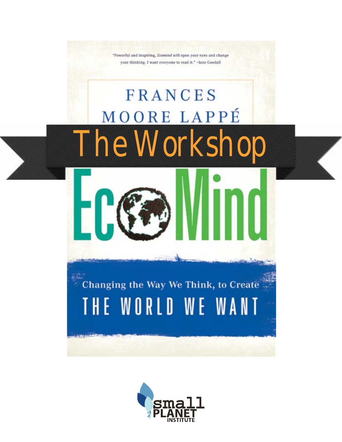

"Powerful and inspiring, Ecomind will open your eyes and change your thinking. I want everyone to read it." -Jane Goodall

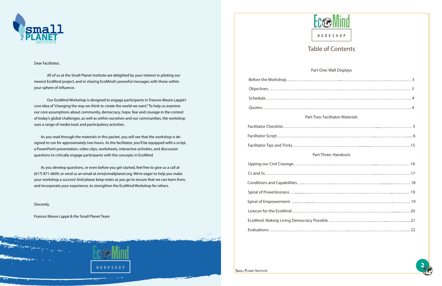

#### Dear Facilitator,

All of us at the Small Planet Institute are delighted by your interest in piloting our newest EcoMind project, and in sharing EcoMind's powerful messages with those within your sphere of influence.

Our EcoMind Workshop is designed to engage participants in Frances Moore Lappé's core idea of "changing the way we think to create the world we want." To help us examine our core assumptions about community, democracy, hope, fear and courage in the context of today's global challenges, as well as within ourselves and our communities, the workshop uses a range of media tools and participatory activities.

 As you read through the materials in this packet, you will see that the workshop is designed to run for approximately two hours. As the facilitator, you'll be equipped with a script, a PowerPoint presentation, video clips, worksheets, interactive activities, and discussion questions to critically engage participants with the concepts in EcoMind.

 As you develop questions, or even before you get started, feel free to give us a call at (617) 871-6609, or send us an email at emi@smallplanet.org. We're eager to help you make your workshop a success! And please keep notes as you go to ensure that we can learn from, and incorporate your experience, to strengthen the EcoMind Workshop for others.

Sincerely,

Frances Moore Lappé & the Small Planet Team





## Part One: Wall Displays

| <b>Part Two: Facilitator Materials</b> |  |  |  |
|----------------------------------------|--|--|--|
|                                        |  |  |  |
|                                        |  |  |  |
|                                        |  |  |  |
| <b>Part Three: Handouts</b>            |  |  |  |
|                                        |  |  |  |
|                                        |  |  |  |
|                                        |  |  |  |
|                                        |  |  |  |
|                                        |  |  |  |
|                                        |  |  |  |
|                                        |  |  |  |
|                                        |  |  |  |

**SMALL PLANET INSTITUTE** 

# Table of Contents

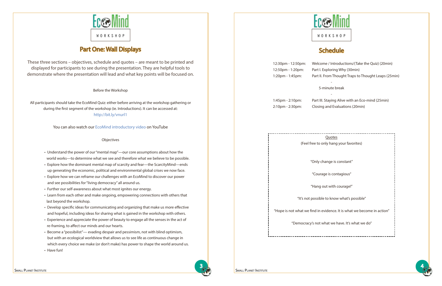

- Understand the power of our"mental map"—our core assumptions about how the world works—to determine what we see and therefore what we believe to be possible.
- Explore how the dominant mental map of scarcity and fear—the ScarcityMind—ends up generating the economic, political and environmental global crises we now face.
- Explore how we can reframe our challenges with an EcoMind to discover our power and see possibilities for "living democracy" all around us.
- Further our self-awareness about what most ignites our energy.
- Learn from each other and make ongoing, empowering connections with others that last beyond the workshop.
- Develop specific ideas for communicating and organizing that make us more effective and hopeful, including ideas for sharing what is gained in the workshop with others.
- Experience and appreciate the power of beauty to engage all the senses in the act of re-framing, to affect our minds and our hearts.
- Become a "possibilist"— evading despair and pessimism, not with blind optimism, but with an ecological worldview that allows us to see life as continuous change in which every choice we make (or don't make) has power to shape the world around us.
- Have fun!

Before the Workshop

All participants should take the EcoMind Quiz: either before arriving at the workshop gathering or during the first segment of the workshop (ie. Introductions). It can be accessed at: <http://bit.ly/vnurl1>

You can also watch our [EcoMind introductory video](http://www.youtube.com/watch?v=dxqE5EUIYQ8) on YouTube

#### **Objectives**

# Part One: Wall Displays

These three sections – objectives, schedule and quotes – are meant to be printed and displayed for participants to see during the presentation. They are helpful tools to demonstrate where the presentation will lead and what key points will be focused on.







- 12:30pm 12:50pm: Welcome / Introductions/(Take the Quiz) (20min)
	- -
	- 5-minute break

 12:50pm - 1:20pm: Part I. Exploring Why (30min) 1:20pm - 1:45pm: Part II. From Thought Traps to Thought Leaps (25min)

(Feel free to only

"Only cha

"Courage

"Hang ou

"It's not possible

"Hope is not what we find in evi

"Democracy's not wh

SMALL PLANET INSTITUTE SMALL PLANET INSTITUTE

# **Schedule**

-

 1:45pm - 2:10pm: Part III. Staying Alive with an Eco-mind (25min) 2:10pm - 2:30pm: Closing and Evaluations (20min)

| Quotes<br>ly hang your favorites)       |
|-----------------------------------------|
| ange is constant"                       |
| e is contagious"                        |
| ut with courage!"                       |
| to know what's possible"                |
| idence. It is what we become in action" |
| nat we have. It's what we do″           |
|                                         |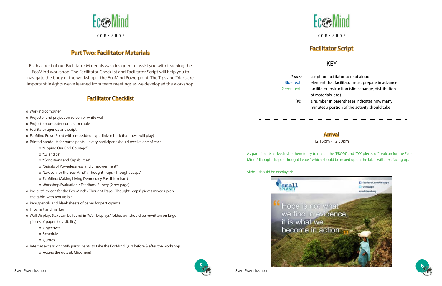

5



# Part Two: Facilitator Materials

Each aspect of our Facilitator Materials was designed to assist you with teaching the EcoMind workshop. The Facilitator Checklist and Facilitator Script will help you to navigate the body of the workshop – the EcoMind Powerpoint. The Tips and Tricks are important insights we've learned from team meetings as we developed the workshop.

## Facilitator Checklist

- o Working computer
- o Projector and projection screen or white wall
- o Projector-computer connector cable
- o Facilitator agenda and script
- o EcoMind PowerPoint with embedded hyperlinks (check that these will play)
- o Printed handouts for participants—every participant should receive one of each
	- o "Upping Our Civil Courage"
	- o "Cs and Ss"
	- o "Conditions and Capabilities"
	- o "Spirals of Powerlessness and Empowerment"
	- o "Lexicon for the Eco-Mind" / Thought Traps Thought Leaps"
	- o EcoMind: Making Living Democracy Possible (chart)
	- o Workshop Evaluation / Feedback Survey (2 per page)
- o Pre-cut "Lexicon for the Eco-Mind" / Thought Traps Thought Leaps" pieces mixed up on the table, with text visible
- o Pens/pencils and blank sheets of paper for participants
- o Flipchart and marker
- o Wall Displays (text can be found in "Wall Displays" folder, but should be rewritten on large pieces of paper for visibility)
	- o Objectives
	- o Schedule
	- o Quotes
- o Internet access, or notify participants to take the EcoMind Quiz before & after the workshop
	- o Access the quiz at: Click [here!](https://docs.google.com/spreadsheet/viewform%3Fhl%3Den_US%26formkey%3DdGRvY2tqUFdIOXp6RnVIREJ6MC1ncVE6MQ%23gid%3D0)





# Facilitator Script

# Arrival

12:15pm - 12:30pm

As participants arrive, invite them to try to match the "FROM" and "TO" pieces of "Lexicon for the Eco-Mind / Thought Traps - Thought Leaps," which should be mixed up on the table with text facing up.

Slide 1 should be displayed:

# KEY

 Italics: script for facilitator to read aloud Blue text: element that facilitator must prepare in advance Green text: facilitator instruction (slide change, distribution of materials, etc.) (#): a number in parentheses indicates how many

minutes a portion of the activity should take

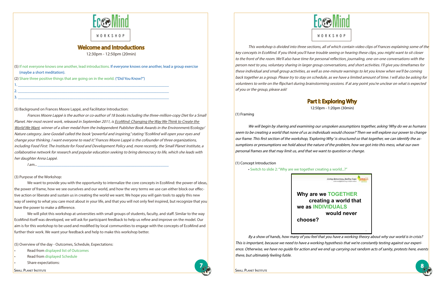

7

## Welcome and Introductions

12:30pm - 12:50pm (20min)

(5) If not everyone knows one another, lead introductions. If everyone knows one another, lead a group exercise (maybe a short meditation).

(2) Share three positive things that are going on in the world. ("Did You Know?")

1. \_\_\_\_\_\_\_\_\_\_\_\_\_\_\_\_\_\_\_\_\_\_\_\_\_\_\_\_\_\_\_\_\_\_\_\_\_\_\_\_\_\_\_\_\_\_\_\_\_\_\_\_\_\_\_\_\_\_\_\_\_\_\_\_\_\_\_\_\_\_\_\_\_\_\_\_

2. \_\_\_\_\_\_\_\_\_\_\_\_\_\_\_\_\_\_\_\_\_\_\_\_\_\_\_\_\_\_\_\_\_\_\_\_\_\_\_\_\_\_\_\_\_\_\_\_\_\_\_\_\_\_\_\_\_\_\_\_\_\_\_\_\_\_\_\_\_\_\_\_\_\_\_\_ 3. \_\_\_\_\_\_\_\_\_\_\_\_\_\_\_\_\_\_\_\_\_\_\_\_\_\_\_\_\_\_\_\_\_\_\_\_\_\_\_\_\_\_\_\_\_\_\_\_\_\_\_\_\_\_\_\_\_\_\_\_\_\_\_\_\_\_\_\_\_\_\_\_\_\_\_\_

(5) Background on Frances Moore Lappé, and Facilitator Introduction:

Frances Moore Lappé is the author or co-author of 18 books including the three-million-copy Diet for a Small Planet. Her most recent work, released in September 2011, is EcoMind: Changing the Way We Think to Create the World We Want, winner of a silver medal from the Independent Publisher Book Awards in the Environment/Ecology/ Nature category. Jane Goodall called the book "powerful and inspiring," stating "EcoMind will open your eyes and change your thinking. I want everyone to read it." Frances Moore Lappé is the cofounder of three organizations, including Food First: The Institute for Food and Development Policy and, more recently, the Small Planet Institute, a collaborative network for research and popular education seeking to bring democracy to life, which she leads with her daughter Anna Lappé.

I am... \_\_\_\_\_\_\_\_\_\_\_\_\_\_\_\_\_\_\_\_\_\_\_\_\_\_\_\_\_\_\_\_\_\_\_\_\_\_\_\_\_\_\_\_\_\_\_\_\_\_\_\_\_\_\_\_\_\_\_\_\_\_\_\_\_\_

(3) Purpose of the Workshop:

This workshop is divided into three sections, all of which contain video clips of Frances explaining some of the key concepts in EcoMind. If you think you'll have trouble seeing or hearing these clips, you might want to sit closer to the front of the room. We'll also have time for personal reflection, journaling, one-on-one conversations with the person next to you, voluntary sharing in larger group conversations, and short activities. I'll give you timeframes for these individual and small group activities, as well as one-minute warnings to let you know when we'll be coming back together as a group. Please try to stay on schedule, as we have a limited amount of time. I will also be asking for volunteers to write on the flipchart during brainstorming sessions. If at any point you're unclear on what is expected of you or the group, please ask!

 We want to provide you with the opportunity to internalize the core concepts in EcoMind: the power of ideas, the power of frame, how we see ourselves and our world, and how the very terms we use can either block our effective action or liberate and sustain us in creating the world we want. We hope you will gain tools to apply this new way of seeing to what you care most about in your life, and that you will not only feel inspired, but recognize that you have the power to make a difference.

 We will pilot this workshop at universities with small groups of students, faculty, and staff. Similar to the way EcoMind itself was developed, we will ask for participant feedback to help us refine and improve on the model. Our aim is for this workshop to be used and modified by local communities to engage with the concepts of EcoMind and further their work. We want your feedback and help to make this workshop better.

(5) Overview of the day - Outcomes, Schedule, Expectations:

- Read from displayed list of Outcomes
- Read from displayed Schedule
- Share expectations:





# Part I: Exploring Why

12:50pm - 1:20pm (30min)

(1) Framing

We will begin by sharing and examining our unspoken assumptions together, asking 'Why do we as humans seem to be creating a world that none of us as individuals would choose?' Then we will explore our power to change our frame. This first section of the workshop, 'Exploring Why' is structured so that together, we can identify the assumptions or presumptions we hold about the nature of the problem, how we got into this mess, what our own personal frames are that may limit us, and that we want to question or change.

(1) Concept Introduction

 • Switch to slide 2: "Why are we together creating a world...?"

By a show of hands, how many of you feel that you have a working theory about why our world is in crisis? This is important, because we need to have a working hypothesis that we're constantly testing against our experience. Otherwise, we have no guide for action and we end up carrying out random acts of sanity, protests here, events there, but ultimately feeling futile.



**we as INDIVIDUALS**

**choose?**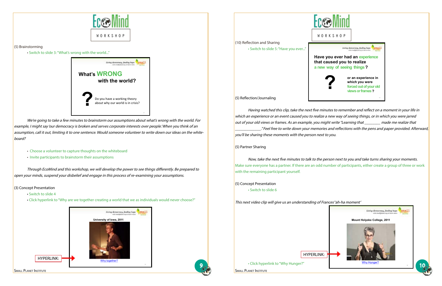

9

| <b>Reflection and Sharing</b> |  |
|-------------------------------|--|

#### (5) Brainstorming

 • Switch to slide 3: "What's wrong with the world..."

We're going to take a few minutes to brainstorm our assumptions about what's wrong with the world. For example, I might say 'our democracy is broken and serves corporate interests over people.' When you think of an assumption, call it out, limiting it to one sentence. Would someone volunteer to write down our ideas on the whiteboard?

- Choose a volunteer to capture thoughts on the whiteboard
- Invite participants to brainstorm their assumptions

 Through EcoMind and this workshop, we will develop the power to see things differently. Be prepared to open your minds, suspend your disbelief and engage in this process of re-examining your assumptions.

#### (3) Concept Presentation

 Now, take the next five minutes to talk to the person next to you and take turns sharing your moments. Make sure everyone has a partner. If there are an odd number of participants, either create a group of three or work with the remaining participant yourself.

- Switch to slide 4
- Click hyperlink to "Why are we together creating a world that we as individuals would never choose?"





• Switch to slide 5:"Have you ever..."

(5) Reflection/Journaling

 $(10)$ 

 Having watched this clip, take the next five minutes to remember and reflect on <sup>a</sup> moment in your life in which an experience or an event caused you to realize <sup>a</sup> new way of seeing things, or in which you were jarred out of your old views or frames. As an example, you might write "Learning that \_\_\_\_\_\_\_\_ made me realize that  $\,$  ." Feel free to write down your memories and reflections with the pens and paper provided. Afterward,  $\,$ you'll be sharing these moments with the person next to you.

(5) Partner Sharing

(5) Concept Presentation • Switch to slide 6

This next video clip will give us an understanding of Frances' 'ah-ha moment'

• Click hyperlink to"Why Hunger?"









**Have you ever had an experience that caused you to realize a new way of seeing things ?** 



**or an experience in which you were forced out of your old ? views or frames ?**

15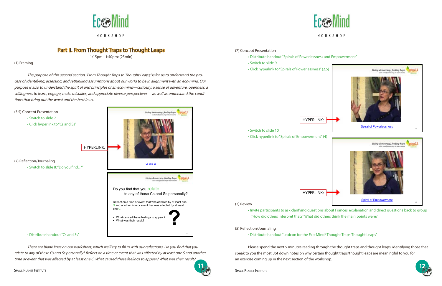### (7) Concept Presentation

- Distribute handout"Spirals of Powerlessness and Empowerment"
- Switch to slide 9
- Click hyperlink to"Spirals of Powerlessness"(2.5)

### HYPERLINK:

 • Switch to slide 10 • Click hyperlink to"Spirals of Empowerment"(4)

### HYPERLINK:

### (2) Review

• Invite participants to ask clarifying questions about Frances' explanation and direct questions back to group ('How did others interpret that?' 'What did others think the main points were?')

(5) Reflection/Journaling

• Distribute handout"Lexicon for the Eco-Mind/ Thought Traps-Thought Leaps"

Please spend the next 5 minutes reading through the thought traps and thought leaps, identifying those that speak to you the most. Jot down notes on why certain thought traps/thought leaps are meaningful to you for an exercise coming up in the next section of the workshop.

SMALL PLANET INSTITUTE SMALL PLANET INSTITUTE



11

# Part II. From Thought Traps to Thought Leaps

1:15pm - 1:40pm: (25min)

#### (1) Framing

The purpose of this second section, 'From Thought Traps to Thought Leaps," is for us to understand the process of identifying, assessing, and rethinking assumptions about our world to be in alignment with an eco-mind. Our purpose is also to understand the spirit of and principles of an eco-mind—curiosity, <sup>a</sup> sense of adventure, openness, <sup>a</sup> willingness to learn, engage, make mistakes, and appreciate diverse perspectives— as well as understand the conditions that bring out the worst and the best in us.



There are blank lines on our worksheet, which we'll try to fill in with our reflections. Do you find that you relate to any of these Cs and Ss personally? Reflect on <sup>a</sup> time or event that was affected by at least one S and another time or event that was affected by at least one C. What caused these feelings to appear? What was their result?





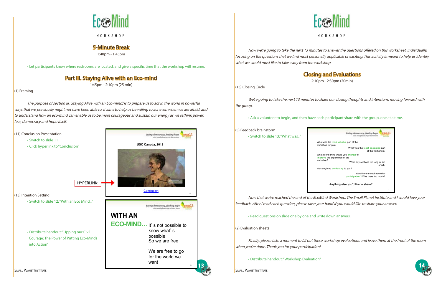

5-Minute Break 1:40pm - 1:45pm

• Let participants know where restrooms are located, and give a specific time that the workshop will resume.

# Part III. Staying Alive with an Eco-mind

1:45pm - 2:10pm (25 min)

### (1) Framing

The purpose of section III, 'Staying Alive with an Eco-mind,' is to prepare us to act in the world in powerful ways that we previously might not have been able to. It aims to help us be willing to act even when we are afraid, and to understand how an eco-mind can enable us to be more courageous and sustain our energy as we rethink power, fear, democracy and hope itself.





Now we're going to take the next 13 minutes to answer the questions offered on this worksheet, individually, focusing on the questions that we find most personally applicable or exciting. This activity is meant to help us identify what we would most like to take away from the workshop.

Closing and Evaluations

2:10pm - 2:30pm (20min)

(13) Closing Circle

We're going to take the next 13 minutes to share our closing thoughts and intentions, moving forward with the group.



 • Ask a volunteer to begin, and then have each participant share with the group, one at a time.

| (5) Feedback brainstorm                                 |                             |
|---------------------------------------------------------|-----------------------------|
| • Switch to slide 13: "What was"                        |                             |
|                                                         | What w<br>worksh            |
|                                                         | What is<br>improv<br>worksh |
|                                                         | Was ar                      |
|                                                         |                             |
|                                                         |                             |
| Now that we've reached the end of the EcoMir            |                             |
| feedback. After I read each question, please raise your |                             |
| • Read questions on slide one by one and write          |                             |
| (2) Evaluation sheets                                   |                             |
| Finally, please take a moment to fill out these u       |                             |
| when you're done. Thank you for your participation!     |                             |
| • Distribute handout: "Workshop Evaluation"             |                             |
| <b>SMALL PLANET INSTITUTE</b>                           |                             |



nd Workshop, The Small Planet Institute and I would love your hand if you would like to share your answer.

e down answers.

workshop evaluations and leave them at the front of the room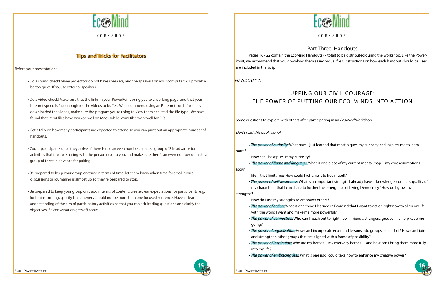



## Tips and Tricks for Facilitators

Before your presentation:

- Do a sound check! Many projectors do not have speakers, and the speakers on your computer will probably be too quiet. If so, use external speakers.
- Do a video check! Make sure that the links in your PowerPoint bring you to a working page, and that your Internet speed is fast enough for the videos to buffer. We recommend using an Ethernet cord. If you have downloaded the videos, make sure the program you're using to view them can read the file type. We have found that .mp4 files have worked well on Macs, while .wmv files work well for PCs.
- Get a tally on how many participants are expected to attend so you can print out an appropriate number of handouts.
- Count participants once they arrive. If there is not an even number, create a group of 3 in advance for activities that involve sharing with the person next to you, and make sure there's an even number or make a group of three in advance for pairing
- Be prepared to keep your group on track in terms of time: let them know when time for small group discussions or journaling is almost up so they're prepared to stop.
- Be prepared to keep your group on track in terms of content: create clear expectations for participants, e.g. for brainstorming, specify that answers should not be more than one focused sentence. Have a clear understanding of the aim of participatory activities so that you can ask leading questions and clarify the objectives if a conversation gets off-topic.

• The power of curiosity: What have I just learned that most piques my curiosity and inspires me to learn more?

• The power of frame and language: What is one piece of my current mental map—my core assumptions about

• The power of self-awareness: What is an important strength I already have—knowledge, contacts, quality of my character—that I can share to further the emergence of Living Democracy? How do I grow my strengths?





## Part Three: Handouts

Pages 16 - 22 contain the EcoMind Handouts (7 total) to be distributed during the workshop. Like the Power-Point, we recommend that you download them as individual files. Instructions on how each handout should be used are included in the script.

# Upping our Civil Courage: The Power of Putting our Eco-Minds into Action

Some questions to explore with others after participating in an *EcoMind* Workshop

Don't read this book alone!

How can I best pursue my curiosity?

life—that limits me? How could I reframe it to free myself?

How do I use my strengths to empower others?

- with the world I want and make me more powerful?
- going?
- and strengthen other groups that are aligned with a frame of possibility?
- into my life?
- 

• The power of action: What is one thing I learned in EcoMind that I want to act on right now to align my life

• The power of connection: Who can I reach out to right now—friends, strangers, groups—to help keep me

• The power of organization: How can I incorporate eco-mind lessons into groups I'm part of? How can I join

• The power of inspiration: Who are my heroes—my everyday heroes— and how can I bring them more fully

• The power of embracing fear: What is one risk I could take now to enhance my creative power?

HANDOUT 1.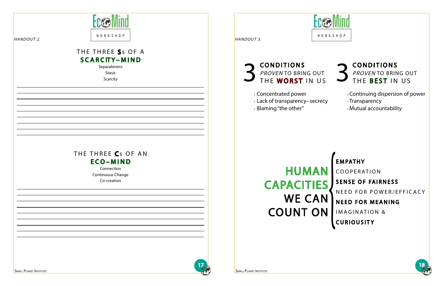# CONDITIONS PROVEN TO BRING OUT THE BEST IN US





- Continuing dispersion of power
- Transparency
- Mutual accountability

| WORKSHOP<br>HANDOUT 2.                                                                             | WORKSHOP<br>HANDOUT 3.                                                                                                                         |                                                                             |
|----------------------------------------------------------------------------------------------------|------------------------------------------------------------------------------------------------------------------------------------------------|-----------------------------------------------------------------------------|
| THE THREE S <sub>S</sub> OF A<br><b>SCARCITY-MIND</b><br>Separateness<br><b>Stasis</b><br>Scarcity | <b>CONDITIONS</b><br>PROVENTO BRING OUT<br>THE WORST IN US<br>. Concentrated power<br>· Lack of transparency--secrecy<br>. Blaming "the other" | $\bullet$<br>$\ddot{\cdot}$<br>$\bullet$                                    |
| THE THREE Cs OF AN<br>ECO-MIND<br>Connection<br>Continuous Change<br>Co-creation                   | <b>HUMAN</b><br><b>CAPACITIES</b><br><b>WE CAN</b><br><b>COUNT ON</b>                                                                          | <b>EMP</b><br>COO<br><b>SENS</b><br>NEED<br><b>NEE</b><br>IMA<br><b>CUR</b> |
| <b>SMALL PLANET INSTITUTE</b>                                                                      | $1\frac{1}{\sqrt{2}}$<br><b>SMALL PLANET INSTITUTE</b>                                                                                         |                                                                             |

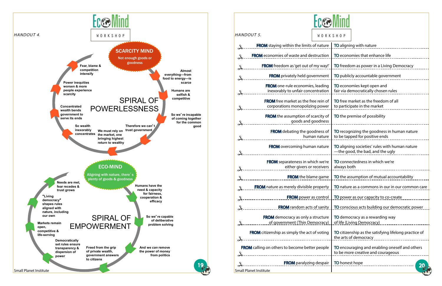| <i>IANDOUT 5.</i><br>WORKSHOP                                                  |                                                                                      |  |  |  |
|--------------------------------------------------------------------------------|--------------------------------------------------------------------------------------|--|--|--|
| <b>FROM</b> staying within the limits of nature                                | TO aligning with nature                                                              |  |  |  |
| <b>FROM</b> economies of waste and destruction                                 | TO economies that enhance life                                                       |  |  |  |
| <b>FROM</b> freedom as 'get out of my way!'                                    | TO freedom as power in a Living Democracy                                            |  |  |  |
| <b>FROM</b> privately held government                                          | TO publicly accountable government                                                   |  |  |  |
| <b>FROM</b> one-rule economies, leading<br>inexorably to unfair concentration  | TO economies kept open and<br>fair via democratically chosen rules                   |  |  |  |
| <b>FROM</b> free market as the free rein of<br>corporations monopolizing power | <b>TO</b> free market as the freedom of all<br>to participate in the market          |  |  |  |
| <b>FROM</b> the assumption of scarcity of<br>goods and goodness                | TO the premise of possibility                                                        |  |  |  |
| <b>FROM</b> debating the goodness of<br>human nature                           | TO recognizing the goodness in human nature<br>to be tapped for positive ends        |  |  |  |
| <b>FROM</b> overcoming human nature                                            | TO aligning societies' rules with human nature<br>-the good, the bad, and the ugly   |  |  |  |
| <b>FROM</b> separateness in which we're<br>either givers or receivers          | TO connectedness in which we're<br>always both                                       |  |  |  |
| <b>FROM</b> the blame game                                                     | TO the assumption of mutual accountability                                           |  |  |  |
| <b>FROM</b> nature as merely divisible property                                | TO nature as a commons in our in our common care                                     |  |  |  |
| FROM power as control                                                          | TO power as our capacity to co-create                                                |  |  |  |
| ____________ <b>FROM</b> random acts of sanity                                 | TO conscious acts building our democratic power                                      |  |  |  |
| <b>FROM</b> democracy as only a structure<br>of government (Thin Democracy)    | TO democracy as a rewarding way<br>of life (Living Democracy)                        |  |  |  |
| <b>FROM</b> citizenship as simply the act of voting                            | TO citizenship as the satisfying lifelong practice of<br>the arts of democracy       |  |  |  |
| <b>FROM</b> calling on others to become better people                          | TO encouraging and enabling oneself and others<br>to be more creative and courageous |  |  |  |
| FROM paralyzing despair                                                        | TO honest hope                                                                       |  |  |  |
| mall Planet Institute                                                          |                                                                                      |  |  |  |



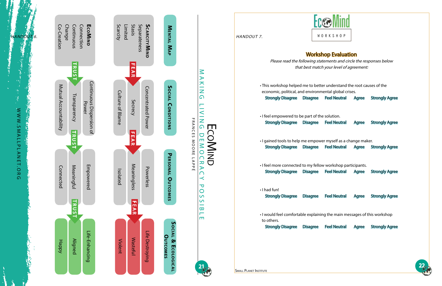



# Workshop Evaluation

Please read the following statements and circle the responses below that best match your level of agreement:

• This workshop helped me to better understand the root causes of the economic, political, and environmental global crises. Strongly Disagree Disagree Feel Neutral Agree Strongly Agree

• I feel empowered to be part of the solution. Strongly Disagree Disagree Feel Neutral Agree Strongly Agree

Small Planet Institute s

• I gained tools to help me empower myself as a change maker. Strongly Disagree Disagree Feel Neutral Agree Strongly Agree

• I feel more connected to my fellow workshop participants. Strongly Disagree Disagree Feel Neutral Agree Strongly Agree

• I had fun!

Strongly Disagree Disagree Feel Neutral Agree Strongly Agree

• I would feel comfortable explaining the main messages of this workshop to others.

Strongly Disagree Disagree Feel Neutral Agree Strongly Agree

HANDOUT 7.



**NAKING** aking L Н in the control  $\,<$ ing D ╖ RANCES m EcoMind  $\blacksquare$ emocracy P OOW O<br>D<br>T<br>T APP É  $\overline{\mathbf{z}}$  $\blacktriangleright$  $\bigcap$  $\prec$  $\overline{\mathbf{C}}$  $\overline{O}$ ossible  $\overline{C}$  $\overline{C}$  $\frac{1}{\sigma}$ Н  $\blacksquare$ 





21

HANDOUT 6.